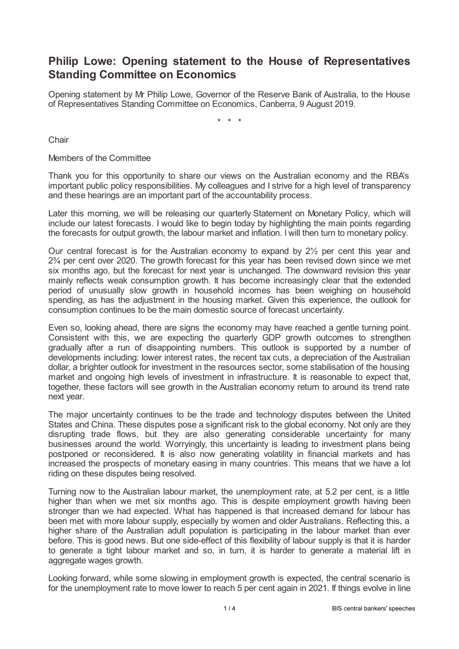## **Philip Lowe: Opening statement to the House of Representatives Standing Committee on Economics**

Opening statement by Mr Philip Lowe, Governor of the Reserve Bank of Australia, to the House of Representatives Standing Committee on Economics, Canberra, 9 August 2019.

\* \* \*

**Chair** 

Members of the Committee

Thank you for this opportunity to share our views on the Australian economy and the RBA's important public policy responsibilities. My colleagues and I strive for a high level of transparency and these hearings are an important part of the accountability process.

Later this morning, we will be releasing our quarterly Statement on Monetary Policy, which will include our latest forecasts. I would like to begin today by highlighting the main points regarding the forecasts for output growth, the labour market and inflation. I will then turn to monetary policy.

Our central forecast is for the Australian economy to expand by 2½ per cent this year and 2¾ per cent over 2020. The growth forecast for this year has been revised down since we met six months ago, but the forecast for next year is unchanged. The downward revision this year mainly reflects weak consumption growth. It has become increasingly clear that the extended period of unusually slow growth in household incomes has been weighing on household spending, as has the adjustment in the housing market. Given this experience, the outlook for consumption continues to be the main domestic source of forecast uncertainty.

Even so, looking ahead, there are signs the economy may have reached a gentle turning point. Consistent with this, we are expecting the quarterly GDP growth outcomes to strengthen gradually after a run of disappointing numbers. This outlook is supported by a number of developments including: lower interest rates, the recent tax cuts, a depreciation of the Australian dollar, a brighter outlook for investment in the resources sector, some stabilisation of the housing market and ongoing high levels of investment in infrastructure. It is reasonable to expect that, together, these factors will see growth in the Australian economy return to around its trend rate next year.

The major uncertainty continues to be the trade and technology disputes between the United States and China. These disputes pose a significant risk to the global economy. Not only are they disrupting trade flows, but they are also generating considerable uncertainty for many businesses around the world. Worryingly, this uncertainty is leading to investment plans being postponed or reconsidered. It is also now generating volatility in financial markets and has increased the prospects of monetary easing in many countries. This means that we have a lot riding on these disputes being resolved.

Turning now to the Australian labour market, the unemployment rate, at 5.2 per cent, is a little higher than when we met six months ago. This is despite employment growth having been stronger than we had expected. What has happened is that increased demand for labour has been met with more labour supply, especially by women and older Australians. Reflecting this, a higher share of the Australian adult population is participating in the labour market than ever before. This is good news. But one side-effect of this flexibility of labour supply is that it is harder to generate a tight labour market and so, in turn, it is harder to generate a material lift in aggregate wages growth.

Looking forward, while some slowing in employment growth is expected, the central scenario is for the unemployment rate to move lower to reach 5 per cent again in 2021. If things evolve in line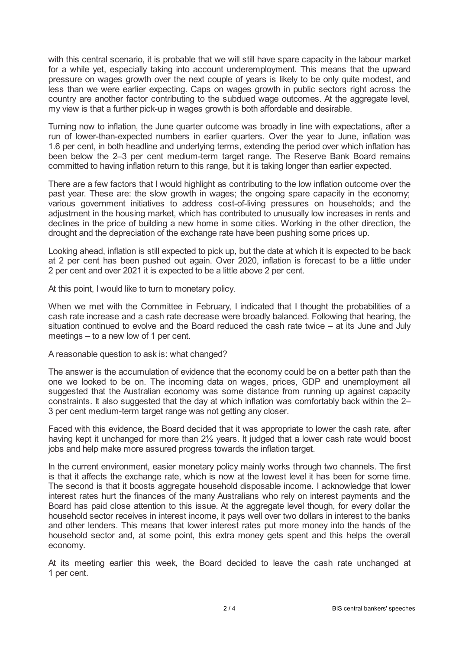with this central scenario, it is probable that we will still have spare capacity in the labour market for a while yet, especially taking into account underemployment. This means that the upward pressure on wages growth over the next couple of years is likely to be only quite modest, and less than we were earlier expecting. Caps on wages growth in public sectors right across the country are another factor contributing to the subdued wage outcomes. At the aggregate level, my view is that a further pick-up in wages growth is both affordable and desirable.

Turning now to inflation, the June quarter outcome was broadly in line with expectations, after a run of lower-than-expected numbers in earlier quarters. Over the year to June, inflation was 1.6 per cent, in both headline and underlying terms, extending the period over which inflation has been below the 2–3 per cent medium-term target range. The Reserve Bank Board remains committed to having inflation return to this range, but it is taking longer than earlier expected.

There are a few factors that I would highlight as contributing to the low inflation outcome over the past year. These are: the slow growth in wages; the ongoing spare capacity in the economy; various government initiatives to address cost-of-living pressures on households; and the adjustment in the housing market, which has contributed to unusually low increases in rents and declines in the price of building a new home in some cities. Working in the other direction, the drought and the depreciation of the exchange rate have been pushing some prices up.

Looking ahead, inflation is still expected to pick up, but the date at which it is expected to be back at 2 per cent has been pushed out again. Over 2020, inflation is forecast to be a little under 2 per cent and over 2021 it is expected to be a little above 2 per cent.

At this point, I would like to turn to monetary policy.

When we met with the Committee in February, I indicated that I thought the probabilities of a cash rate increase and a cash rate decrease were broadly balanced. Following that hearing, the situation continued to evolve and the Board reduced the cash rate twice – at its June and July meetings – to a new low of 1 per cent.

## A reasonable question to ask is: what changed?

The answer is the accumulation of evidence that the economy could be on a better path than the one we looked to be on. The incoming data on wages, prices, GDP and unemployment all suggested that the Australian economy was some distance from running up against capacity constraints. It also suggested that the day at which inflation was comfortably back within the 2– 3 per cent medium-term target range was not getting any closer.

Faced with this evidence, the Board decided that it was appropriate to lower the cash rate, after having kept it unchanged for more than 2<sup>1</sup>/<sub>2</sub> years. It judged that a lower cash rate would boost jobs and help make more assured progress towards the inflation target.

In the current environment, easier monetary policy mainly works through two channels. The first is that it affects the exchange rate, which is now at the lowest level it has been for some time. The second is that it boosts aggregate household disposable income. I acknowledge that lower interest rates hurt the finances of the many Australians who rely on interest payments and the Board has paid close attention to this issue. At the aggregate level though, for every dollar the household sector receives in interest income, it pays well over two dollars in interest to the banks and other lenders. This means that lower interest rates put more money into the hands of the household sector and, at some point, this extra money gets spent and this helps the overall economy.

At its meeting earlier this week, the Board decided to leave the cash rate unchanged at 1 per cent.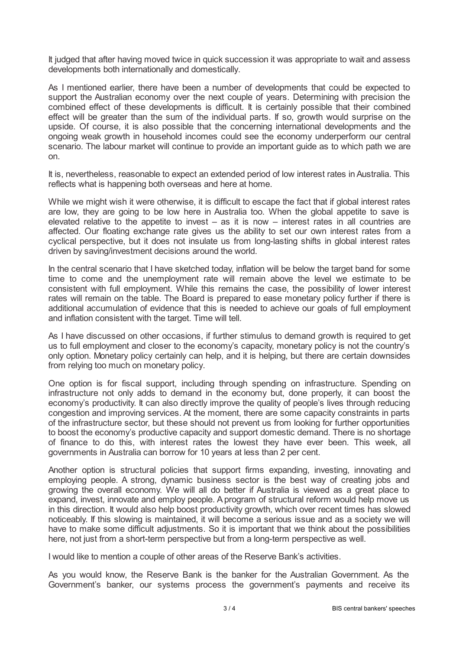It judged that after having moved twice in quick succession it was appropriate to wait and assess developments both internationally and domestically.

As I mentioned earlier, there have been a number of developments that could be expected to support the Australian economy over the next couple of years. Determining with precision the combined effect of these developments is difficult. It is certainly possible that their combined effect will be greater than the sum of the individual parts. If so, growth would surprise on the upside. Of course, it is also possible that the concerning international developments and the ongoing weak growth in household incomes could see the economy underperform our central scenario. The labour market will continue to provide an important guide as to which path we are on.

It is, nevertheless, reasonable to expect an extended period of low interest rates in Australia. This reflects what is happening both overseas and here at home.

While we might wish it were otherwise, it is difficult to escape the fact that if global interest rates are low, they are going to be low here in Australia too. When the global appetite to save is elevated relative to the appetite to invest  $-$  as it is now  $-$  interest rates in all countries are affected. Our floating exchange rate gives us the ability to set our own interest rates from a cyclical perspective, but it does not insulate us from long-lasting shifts in global interest rates driven by saving/investment decisions around the world.

In the central scenario that I have sketched today, inflation will be below the target band for some time to come and the unemployment rate will remain above the level we estimate to be consistent with full employment. While this remains the case, the possibility of lower interest rates will remain on the table. The Board is prepared to ease monetary policy further if there is additional accumulation of evidence that this is needed to achieve our goals of full employment and inflation consistent with the target. Time will tell.

As I have discussed on other occasions, if further stimulus to demand growth is required to get us to full employment and closer to the economy's capacity, monetary policy is not the country's only option. Monetary policy certainly can help, and it is helping, but there are certain downsides from relying too much on monetary policy.

One option is for fiscal support, including through spending on infrastructure. Spending on infrastructure not only adds to demand in the economy but, done properly, it can boost the economy's productivity. It can also directly improve the quality of people's lives through reducing congestion and improving services. At the moment, there are some capacity constraints in parts of the infrastructure sector, but these should not prevent us from looking for further opportunities to boost the economy's productive capacity and support domestic demand. There is no shortage of finance to do this, with interest rates the lowest they have ever been. This week, all governments in Australia can borrow for 10 years at less than 2 per cent.

Another option is structural policies that support firms expanding, investing, innovating and employing people. A strong, dynamic business sector is the best way of creating jobs and growing the overall economy. We will all do better if Australia is viewed as a great place to expand, invest, innovate and employ people. Aprogram of structural reform would help move us in this direction. It would also help boost productivity growth, which over recent times has slowed noticeably. If this slowing is maintained, it will become a serious issue and as a society we will have to make some difficult adjustments. So it is important that we think about the possibilities here, not just from a short-term perspective but from a long-term perspective as well.

I would like to mention a couple of other areas of the Reserve Bank's activities.

As you would know, the Reserve Bank is the banker for the Australian Government. As the Government's banker, our systems process the government's payments and receive its